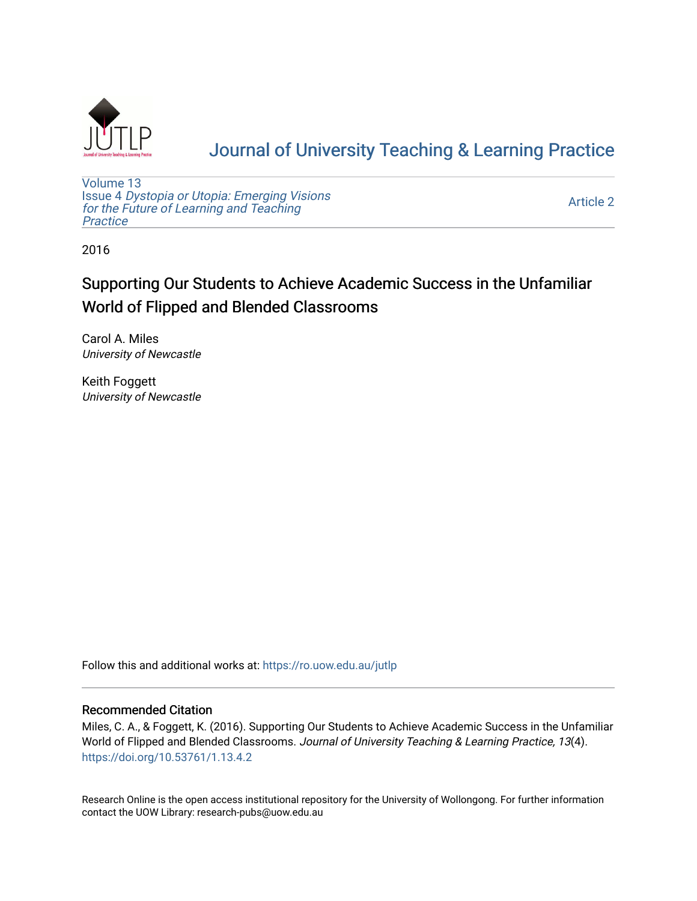

# [Journal of University Teaching & Learning Practice](https://ro.uow.edu.au/jutlp)

[Volume 13](https://ro.uow.edu.au/jutlp/vol13) Issue 4 [Dystopia or Utopia: Emerging Visions](https://ro.uow.edu.au/jutlp/vol13/iss4) [for the Future of Learning and Teaching](https://ro.uow.edu.au/jutlp/vol13/iss4) **Practice** 

[Article 2](https://ro.uow.edu.au/jutlp/vol13/iss4/2) 

2016

## Supporting Our Students to Achieve Academic Success in the Unfamiliar World of Flipped and Blended Classrooms

Carol A. Miles University of Newcastle

Keith Foggett University of Newcastle

Follow this and additional works at: [https://ro.uow.edu.au/jutlp](https://ro.uow.edu.au/jutlp?utm_source=ro.uow.edu.au%2Fjutlp%2Fvol13%2Fiss4%2F2&utm_medium=PDF&utm_campaign=PDFCoverPages) 

#### Recommended Citation

Miles, C. A., & Foggett, K. (2016). Supporting Our Students to Achieve Academic Success in the Unfamiliar World of Flipped and Blended Classrooms. Journal of University Teaching & Learning Practice, 13(4). <https://doi.org/10.53761/1.13.4.2>

Research Online is the open access institutional repository for the University of Wollongong. For further information contact the UOW Library: research-pubs@uow.edu.au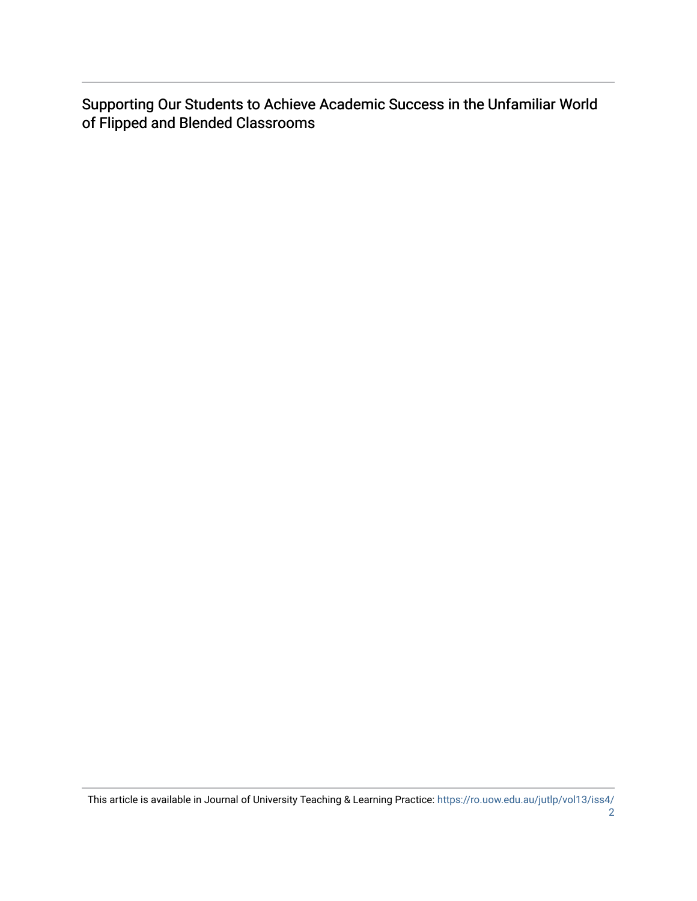Supporting Our Students to Achieve Academic Success in the Unfamiliar World of Flipped and Blended Classrooms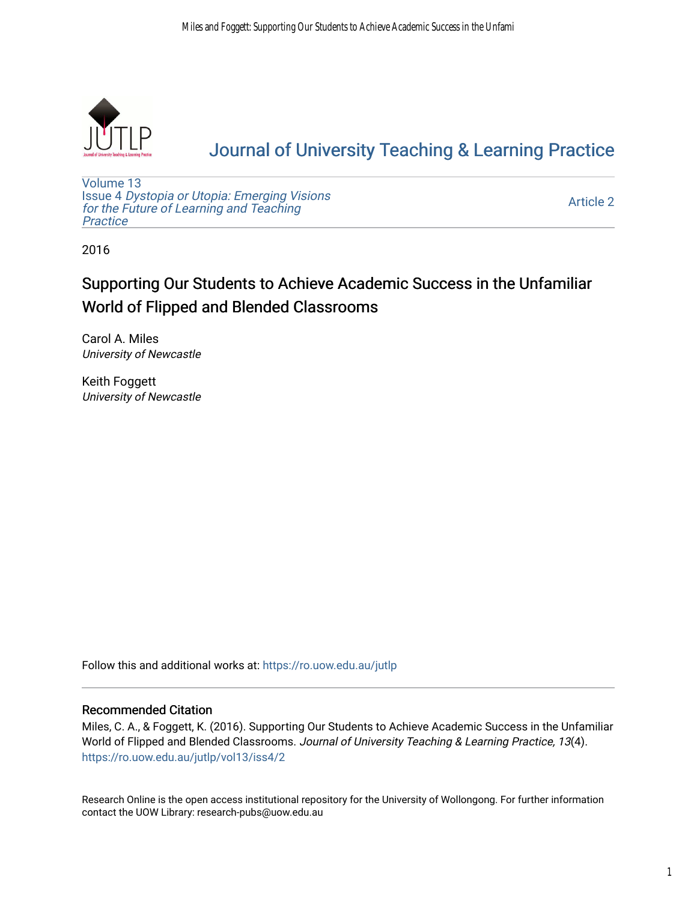

# [Journal of University Teaching & Learning Practice](https://ro.uow.edu.au/jutlp)

[Volume 13](https://ro.uow.edu.au/jutlp/vol13) Issue 4 [Dystopia or Utopia: Emerging Visions](https://ro.uow.edu.au/jutlp/vol13/iss4) [for the Future of Learning and Teaching](https://ro.uow.edu.au/jutlp/vol13/iss4) **Practice** 

[Article 2](https://ro.uow.edu.au/jutlp/vol13/iss4/2) 

2016

## Supporting Our Students to Achieve Academic Success in the Unfamiliar World of Flipped and Blended Classrooms

Carol A. Miles University of Newcastle

Keith Foggett University of Newcastle

Follow this and additional works at: [https://ro.uow.edu.au/jutlp](https://ro.uow.edu.au/jutlp?utm_source=ro.uow.edu.au%2Fjutlp%2Fvol13%2Fiss4%2F2&utm_medium=PDF&utm_campaign=PDFCoverPages) 

#### Recommended Citation

Miles, C. A., & Foggett, K. (2016). Supporting Our Students to Achieve Academic Success in the Unfamiliar World of Flipped and Blended Classrooms. Journal of University Teaching & Learning Practice, 13(4). [https://ro.uow.edu.au/jutlp/vol13/iss4/2](https://ro.uow.edu.au/jutlp/vol13/iss4/2?utm_source=ro.uow.edu.au%2Fjutlp%2Fvol13%2Fiss4%2F2&utm_medium=PDF&utm_campaign=PDFCoverPages) 

Research Online is the open access institutional repository for the University of Wollongong. For further information contact the UOW Library: research-pubs@uow.edu.au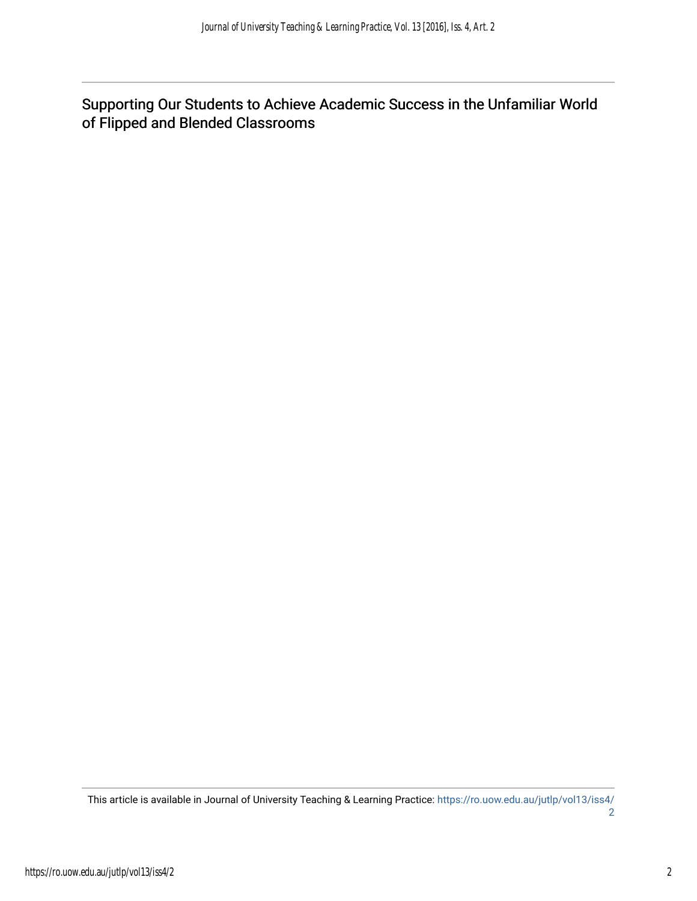Supporting Our Students to Achieve Academic Success in the Unfamiliar World of Flipped and Blended Classrooms

This article is available in Journal of University Teaching & Learning Practice: [https://ro.uow.edu.au/jutlp/vol13/iss4/](https://ro.uow.edu.au/jutlp/vol13/iss4/2) [2](https://ro.uow.edu.au/jutlp/vol13/iss4/2)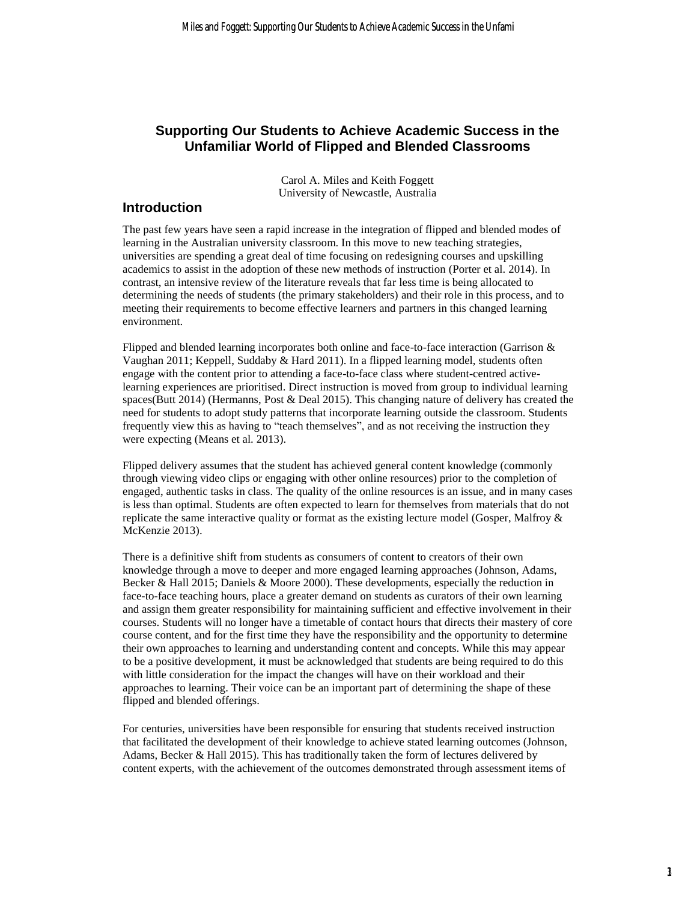### **Supporting Our Students to Achieve Academic Success in the Unfamiliar World of Flipped and Blended Classrooms**

Carol A. Miles and Keith Foggett University of Newcastle, Australia

#### **Introduction**

The past few years have seen a rapid increase in the integration of flipped and blended modes of learning in the Australian university classroom. In this move to new teaching strategies, universities are spending a great deal of time focusing on redesigning courses and upskilling academics to assist in the adoption of these new methods of instruction (Porter et al. 2014). In contrast, an intensive review of the literature reveals that far less time is being allocated to determining the needs of students (the primary stakeholders) and their role in this process, and to meeting their requirements to become effective learners and partners in this changed learning environment.

Flipped and blended learning incorporates both online and face-to-face interaction (Garrison & Vaughan 2011; Keppell, Suddaby & Hard 2011). In a flipped learning model, students often engage with the content prior to attending a face-to-face class where student-centred activelearning experiences are prioritised. Direct instruction is moved from group to individual learning spaces(Butt 2014) (Hermanns, Post & Deal 2015). This changing nature of delivery has created the need for students to adopt study patterns that incorporate learning outside the classroom. Students frequently view this as having to "teach themselves", and as not receiving the instruction they were expecting (Means et al. 2013).

Flipped delivery assumes that the student has achieved general content knowledge (commonly through viewing video clips or engaging with other online resources) prior to the completion of engaged, authentic tasks in class. The quality of the online resources is an issue, and in many cases is less than optimal. Students are often expected to learn for themselves from materials that do not replicate the same interactive quality or format as the existing lecture model (Gosper, Malfroy & McKenzie 2013).

There is a definitive shift from students as consumers of content to creators of their own knowledge through a move to deeper and more engaged learning approaches (Johnson, Adams, Becker & Hall 2015; Daniels & Moore 2000). These developments, especially the reduction in face-to-face teaching hours, place a greater demand on students as curators of their own learning and assign them greater responsibility for maintaining sufficient and effective involvement in their courses. Students will no longer have a timetable of contact hours that directs their mastery of core course content, and for the first time they have the responsibility and the opportunity to determine their own approaches to learning and understanding content and concepts. While this may appear to be a positive development, it must be acknowledged that students are being required to do this with little consideration for the impact the changes will have on their workload and their approaches to learning. Their voice can be an important part of determining the shape of these flipped and blended offerings.

For centuries, universities have been responsible for ensuring that students received instruction that facilitated the development of their knowledge to achieve stated learning outcomes (Johnson, Adams, Becker & Hall 2015). This has traditionally taken the form of lectures delivered by content experts, with the achievement of the outcomes demonstrated through assessment items of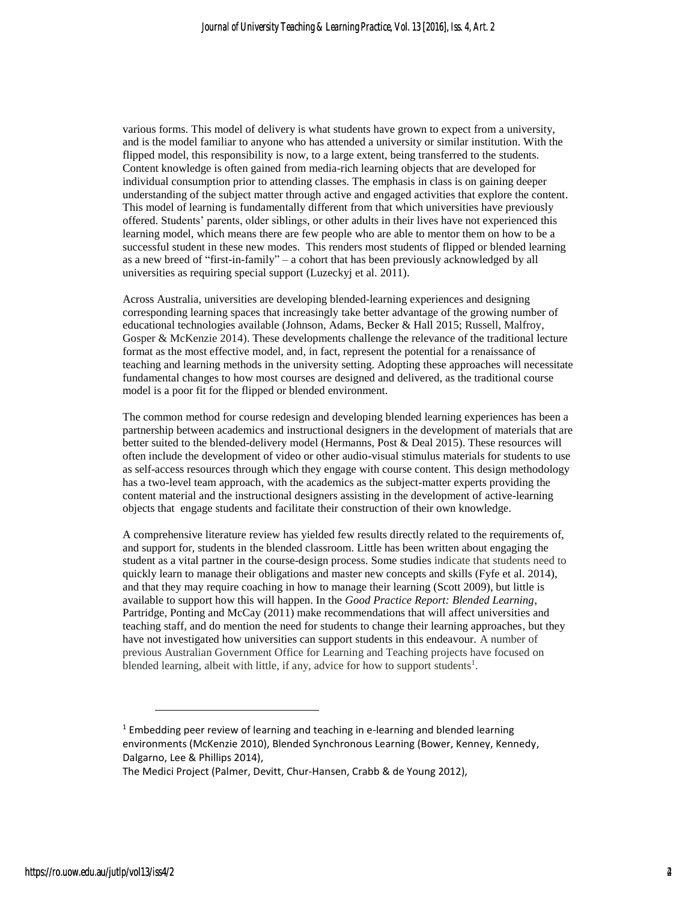various forms. This model of delivery is what students have grown to expect from a university, and is the model familiar to anyone who has attended a university or similar institution. With the flipped model, this responsibility is now, to a large extent, being transferred to the students. Content knowledge is often gained from media-rich learning objects that are developed for individual consumption prior to attending classes. The emphasis in class is on gaining deeper understanding of the subject matter through active and engaged activities that explore the content. This model of learning is fundamentally different from that which universities have previously offered. Students' parents, older siblings, or other adults in their lives have not experienced this learning model, which means there are few people who are able to mentor them on how to be a successful student in these new modes. This renders most students of flipped or blended learning as a new breed of "first-in-family" – a cohort that has been previously acknowledged by all universities as requiring special support (Luzeckyj et al. 2011).

Across Australia, universities are developing blended-learning experiences and designing corresponding learning spaces that increasingly take better advantage of the growing number of educational technologies available (Johnson, Adams, Becker & Hall 2015; Russell, Malfroy, Gosper & McKenzie 2014). These developments challenge the relevance of the traditional lecture format as the most effective model, and, in fact, represent the potential for a renaissance of teaching and learning methods in the university setting. Adopting these approaches will necessitate fundamental changes to how most courses are designed and delivered, as the traditional course model is a poor fit for the flipped or blended environment.

The common method for course redesign and developing blended learning experiences has been a partnership between academics and instructional designers in the development of materials that are better suited to the blended-delivery model (Hermanns, Post & Deal 2015). These resources will often include the development of video or other audio-visual stimulus materials for students to use as self-access resources through which they engage with course content. This design methodology has a two-level team approach, with the academics as the subject-matter experts providing the content material and the instructional designers assisting in the development of active-learning objects that engage students and facilitate their construction of their own knowledge.

A comprehensive literature review has yielded few results directly related to the requirements of, and support for, students in the blended classroom. Little has been written about engaging the student as a vital partner in the course-design process. Some studies indicate that students need to quickly learn to manage their obligations and master new concepts and skills (Fyfe et al. 2014), and that they may require coaching in how to manage their learning (Scott 2009), but little is available to support how this will happen. In the *Good Practice Report: Blended Learning*, Partridge, Ponting and McCay (2011) make recommendations that will affect universities and teaching staff, and do mention the need for students to change their learning approaches, but they have not investigated how universities can support students in this endeavour. A number of previous Australian Government Office for Learning and Teaching projects have focused on blended learning, albeit with little, if any, advice for how to support students<sup>1</sup>.

 $1$  Embedding peer review of learning and teaching in e-learning and blended learning environments (McKenzie 2010), Blended Synchronous Learning (Bower, Kenney, Kennedy, Dalgarno, Lee & Phillips 2014),

The Medici Project (Palmer, Devitt, Chur-Hansen, Crabb & de Young 2012),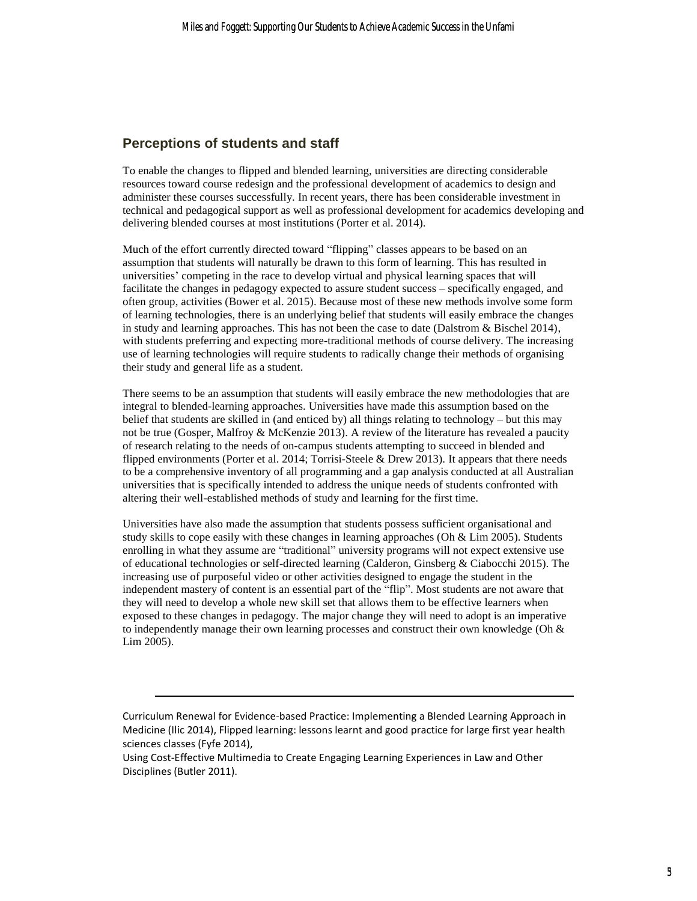#### **Perceptions of students and staff**

-

To enable the changes to flipped and blended learning, universities are directing considerable resources toward course redesign and the professional development of academics to design and administer these courses successfully. In recent years, there has been considerable investment in technical and pedagogical support as well as professional development for academics developing and delivering blended courses at most institutions (Porter et al. 2014).

Much of the effort currently directed toward "flipping" classes appears to be based on an assumption that students will naturally be drawn to this form of learning. This has resulted in universities' competing in the race to develop virtual and physical learning spaces that will facilitate the changes in pedagogy expected to assure student success – specifically engaged, and often group, activities (Bower et al. 2015). Because most of these new methods involve some form of learning technologies, there is an underlying belief that students will easily embrace the changes in study and learning approaches. This has not been the case to date (Dalstrom & Bischel 2014), with students preferring and expecting more-traditional methods of course delivery. The increasing use of learning technologies will require students to radically change their methods of organising their study and general life as a student.

There seems to be an assumption that students will easily embrace the new methodologies that are integral to blended-learning approaches. Universities have made this assumption based on the belief that students are skilled in (and enticed by) all things relating to technology – but this may not be true (Gosper, Malfroy & McKenzie 2013). A review of the literature has revealed a paucity of research relating to the needs of on-campus students attempting to succeed in blended and flipped environments (Porter et al. 2014; Torrisi-Steele & Drew 2013). It appears that there needs to be a comprehensive inventory of all programming and a gap analysis conducted at all Australian universities that is specifically intended to address the unique needs of students confronted with altering their well-established methods of study and learning for the first time.

Universities have also made the assumption that students possess sufficient organisational and study skills to cope easily with these changes in learning approaches (Oh  $& Lim 2005$ ). Students enrolling in what they assume are "traditional" university programs will not expect extensive use of educational technologies or self-directed learning (Calderon, Ginsberg & Ciabocchi 2015). The increasing use of purposeful video or other activities designed to engage the student in the independent mastery of content is an essential part of the "flip". Most students are not aware that they will need to develop a whole new skill set that allows them to be effective learners when exposed to these changes in pedagogy. The major change they will need to adopt is an imperative to independently manage their own learning processes and construct their own knowledge (Oh  $\&$ Lim 2005).

Curriculum Renewal for Evidence-based Practice: Implementing a Blended Learning Approach in Medicine (Ilic 2014), Flipped learning: lessons learnt and good practice for large first year health sciences classes (Fyfe 2014),

Using Cost-Effective Multimedia to Create Engaging Learning Experiences in Law and Other Disciplines (Butler 2011).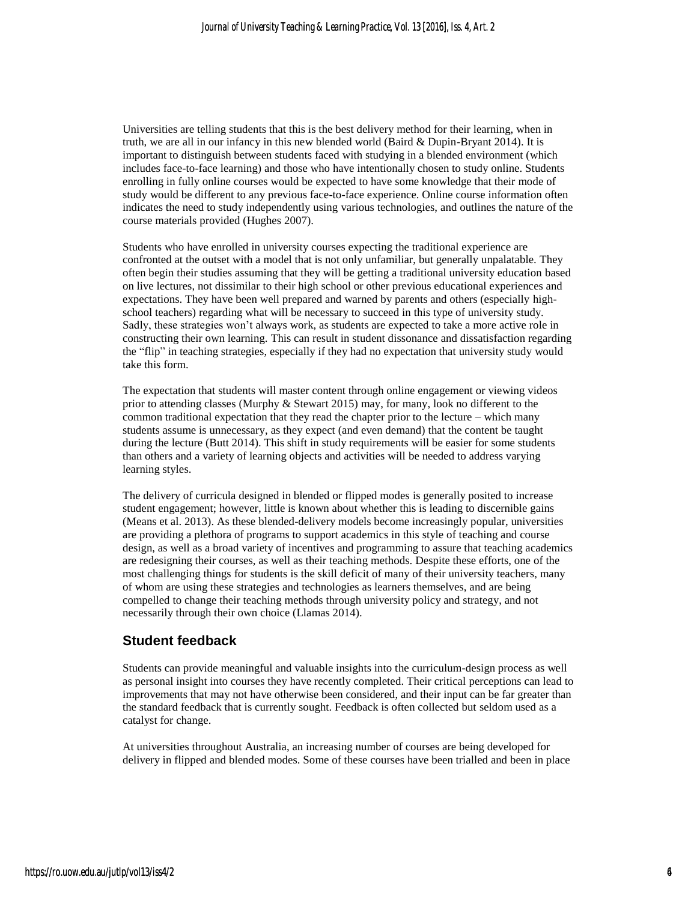Universities are telling students that this is the best delivery method for their learning, when in truth, we are all in our infancy in this new blended world (Baird & Dupin-Bryant 2014). It is important to distinguish between students faced with studying in a blended environment (which includes face-to-face learning) and those who have intentionally chosen to study online. Students enrolling in fully online courses would be expected to have some knowledge that their mode of study would be different to any previous face-to-face experience. Online course information often indicates the need to study independently using various technologies, and outlines the nature of the course materials provided (Hughes 2007).

Students who have enrolled in university courses expecting the traditional experience are confronted at the outset with a model that is not only unfamiliar, but generally unpalatable. They often begin their studies assuming that they will be getting a traditional university education based on live lectures, not dissimilar to their high school or other previous educational experiences and expectations. They have been well prepared and warned by parents and others (especially highschool teachers) regarding what will be necessary to succeed in this type of university study. Sadly, these strategies won't always work, as students are expected to take a more active role in constructing their own learning. This can result in student dissonance and dissatisfaction regarding the "flip" in teaching strategies, especially if they had no expectation that university study would take this form.

The expectation that students will master content through online engagement or viewing videos prior to attending classes (Murphy & Stewart 2015) may, for many, look no different to the common traditional expectation that they read the chapter prior to the lecture – which many students assume is unnecessary, as they expect (and even demand) that the content be taught during the lecture (Butt 2014). This shift in study requirements will be easier for some students than others and a variety of learning objects and activities will be needed to address varying learning styles.

The delivery of curricula designed in blended or flipped modes is generally posited to increase student engagement; however, little is known about whether this is leading to discernible gains (Means et al. 2013). As these blended-delivery models become increasingly popular, universities are providing a plethora of programs to support academics in this style of teaching and course design, as well as a broad variety of incentives and programming to assure that teaching academics are redesigning their courses, as well as their teaching methods. Despite these efforts, one of the most challenging things for students is the skill deficit of many of their university teachers, many of whom are using these strategies and technologies as learners themselves, and are being compelled to change their teaching methods through university policy and strategy, and not necessarily through their own choice (Llamas 2014).

#### **Student feedback**

Students can provide meaningful and valuable insights into the curriculum-design process as well as personal insight into courses they have recently completed. Their critical perceptions can lead to improvements that may not have otherwise been considered, and their input can be far greater than the standard feedback that is currently sought. Feedback is often collected but seldom used as a catalyst for change.

At universities throughout Australia, an increasing number of courses are being developed for delivery in flipped and blended modes. Some of these courses have been trialled and been in place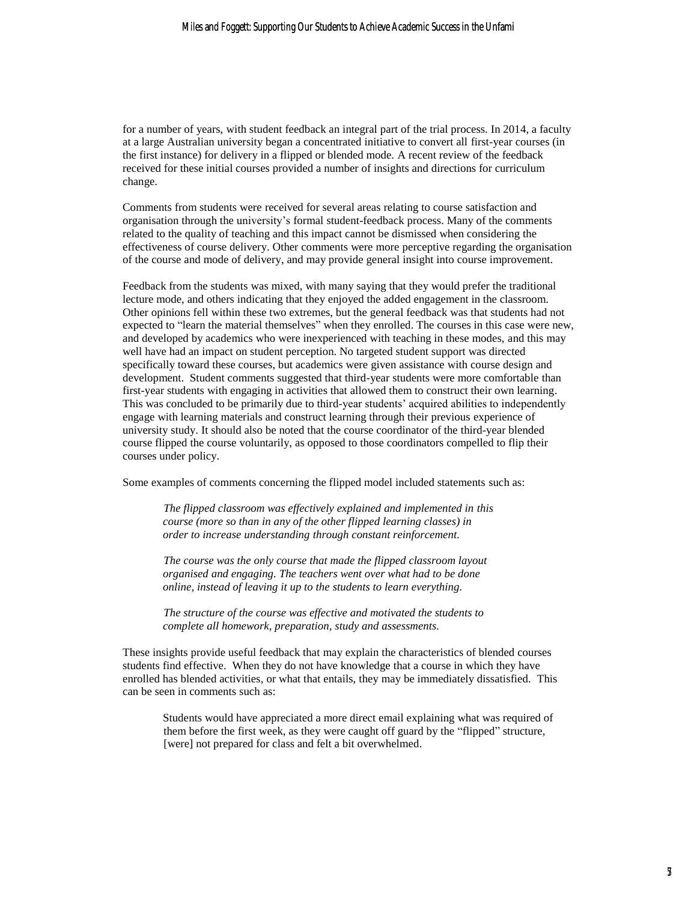for a number of years, with student feedback an integral part of the trial process. In 2014, a faculty at a large Australian university began a concentrated initiative to convert all first-year courses (in the first instance) for delivery in a flipped or blended mode. A recent review of the feedback received for these initial courses provided a number of insights and directions for curriculum change.

Comments from students were received for several areas relating to course satisfaction and organisation through the university's formal student-feedback process. Many of the comments related to the quality of teaching and this impact cannot be dismissed when considering the effectiveness of course delivery. Other comments were more perceptive regarding the organisation of the course and mode of delivery, and may provide general insight into course improvement.

Feedback from the students was mixed, with many saying that they would prefer the traditional lecture mode, and others indicating that they enjoyed the added engagement in the classroom. Other opinions fell within these two extremes, but the general feedback was that students had not expected to "learn the material themselves" when they enrolled. The courses in this case were new, and developed by academics who were inexperienced with teaching in these modes, and this may well have had an impact on student perception. No targeted student support was directed specifically toward these courses, but academics were given assistance with course design and development. Student comments suggested that third-year students were more comfortable than first-year students with engaging in activities that allowed them to construct their own learning. This was concluded to be primarily due to third-year students' acquired abilities to independently engage with learning materials and construct learning through their previous experience of university study. It should also be noted that the course coordinator of the third-year blended course flipped the course voluntarily, as opposed to those coordinators compelled to flip their courses under policy.

Some examples of comments concerning the flipped model included statements such as:

*The flipped classroom was effectively explained and implemented in this course (more so than in any of the other flipped learning classes) in order to increase understanding through constant reinforcement.*

*The course was the only course that made the flipped classroom layout organised and engaging. The teachers went over what had to be done online, instead of leaving it up to the students to learn everything.*

*The structure of the course was effective and motivated the students to complete all homework, preparation, study and assessments.*

These insights provide useful feedback that may explain the characteristics of blended courses students find effective. When they do not have knowledge that a course in which they have enrolled has blended activities, or what that entails, they may be immediately dissatisfied. This can be seen in comments such as:

Students would have appreciated a more direct email explaining what was required of them before the first week, as they were caught off guard by the "flipped" structure, [were] not prepared for class and felt a bit overwhelmed.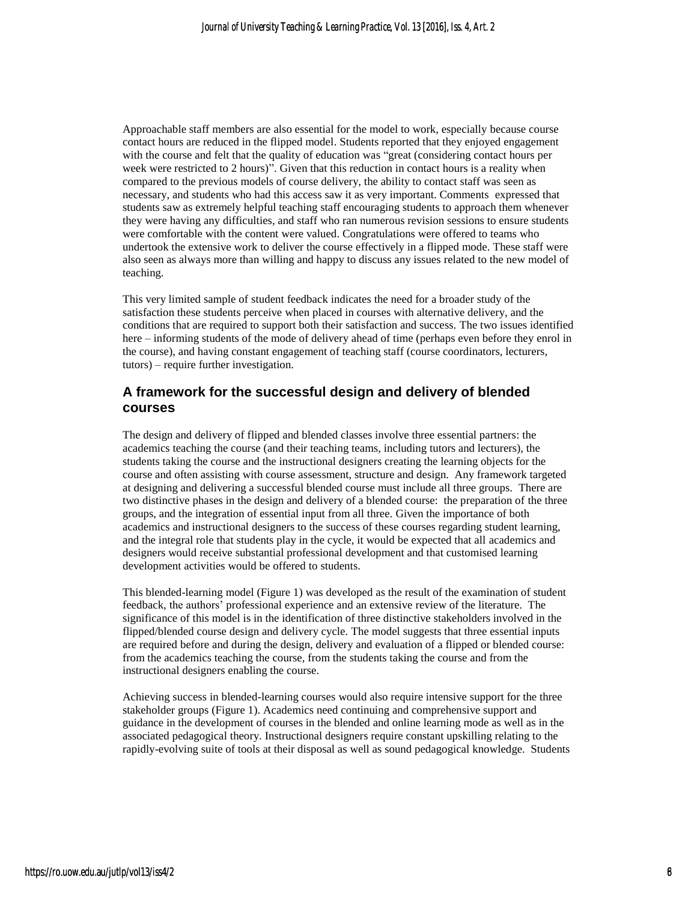Approachable staff members are also essential for the model to work, especially because course contact hours are reduced in the flipped model. Students reported that they enjoyed engagement with the course and felt that the quality of education was "great (considering contact hours per week were restricted to 2 hours)". Given that this reduction in contact hours is a reality when compared to the previous models of course delivery, the ability to contact staff was seen as necessary, and students who had this access saw it as very important. Comments expressed that students saw as extremely helpful teaching staff encouraging students to approach them whenever they were having any difficulties, and staff who ran numerous revision sessions to ensure students were comfortable with the content were valued. Congratulations were offered to teams who undertook the extensive work to deliver the course effectively in a flipped mode. These staff were also seen as always more than willing and happy to discuss any issues related to the new model of teaching.

This very limited sample of student feedback indicates the need for a broader study of the satisfaction these students perceive when placed in courses with alternative delivery, and the conditions that are required to support both their satisfaction and success. The two issues identified here – informing students of the mode of delivery ahead of time (perhaps even before they enrol in the course), and having constant engagement of teaching staff (course coordinators, lecturers, tutors) – require further investigation.

#### **A framework for the successful design and delivery of blended courses**

The design and delivery of flipped and blended classes involve three essential partners: the academics teaching the course (and their teaching teams, including tutors and lecturers), the students taking the course and the instructional designers creating the learning objects for the course and often assisting with course assessment, structure and design. Any framework targeted at designing and delivering a successful blended course must include all three groups. There are two distinctive phases in the design and delivery of a blended course: the preparation of the three groups, and the integration of essential input from all three. Given the importance of both academics and instructional designers to the success of these courses regarding student learning, and the integral role that students play in the cycle, it would be expected that all academics and designers would receive substantial professional development and that customised learning development activities would be offered to students.

This blended-learning model (Figure 1) was developed as the result of the examination of student feedback, the authors' professional experience and an extensive review of the literature. The significance of this model is in the identification of three distinctive stakeholders involved in the flipped/blended course design and delivery cycle. The model suggests that three essential inputs are required before and during the design, delivery and evaluation of a flipped or blended course: from the academics teaching the course, from the students taking the course and from the instructional designers enabling the course.

Achieving success in blended-learning courses would also require intensive support for the three stakeholder groups (Figure 1). Academics need continuing and comprehensive support and guidance in the development of courses in the blended and online learning mode as well as in the associated pedagogical theory. Instructional designers require constant upskilling relating to the rapidly-evolving suite of tools at their disposal as well as sound pedagogical knowledge. Students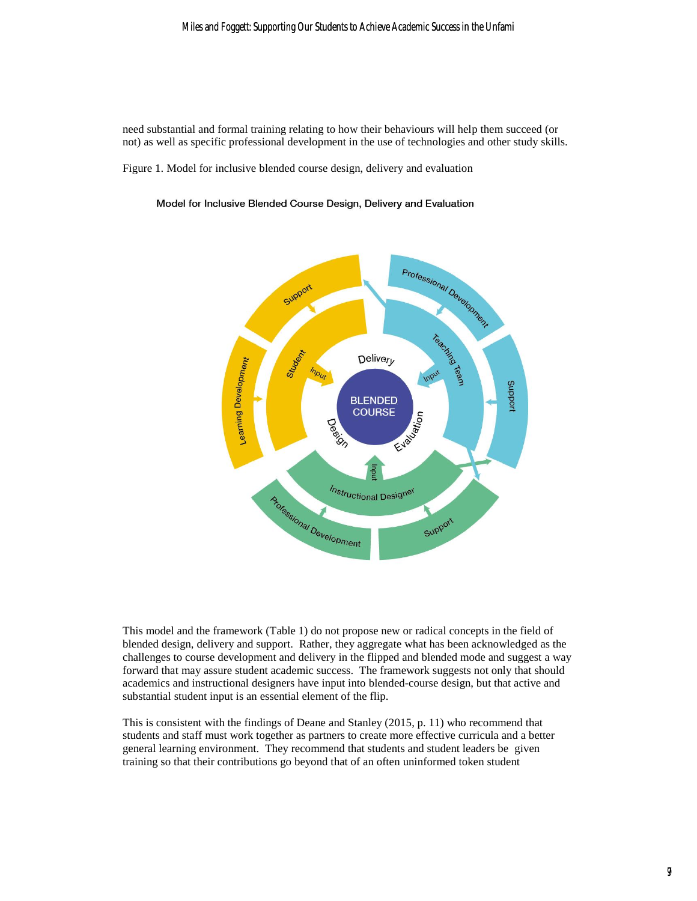#### Miles and Foggett: Supporting Our Students to Achieve Academic Success in the Unfami

need substantial and formal training relating to how their behaviours will help them succeed (or not) as well as specific professional development in the use of technologies and other study skills.

Figure 1. Model for inclusive blended course design, delivery and evaluation

#### Model for Inclusive Blended Course Design, Delivery and Evaluation



This model and the framework (Table 1) do not propose new or radical concepts in the field of blended design, delivery and support. Rather, they aggregate what has been acknowledged as the challenges to course development and delivery in the flipped and blended mode and suggest a way forward that may assure student academic success. The framework suggests not only that should academics and instructional designers have input into blended-course design, but that active and substantial student input is an essential element of the flip.

This is consistent with the findings of Deane and Stanley (2015, p. 11) who recommend that students and staff must work together as partners to create more effective curricula and a better general learning environment. They recommend that students and student leaders be given training so that their contributions go beyond that of an often uninformed token student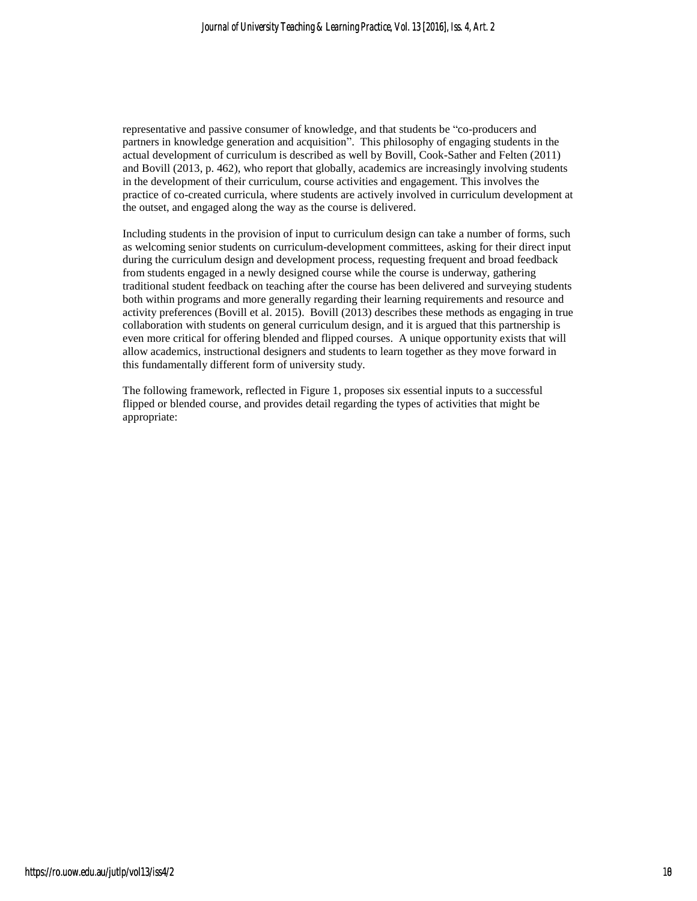representative and passive consumer of knowledge, and that students be "co-producers and partners in knowledge generation and acquisition". This philosophy of engaging students in the actual development of curriculum is described as well by Bovill, Cook-Sather and Felten (2011) and Bovill (2013, p. 462), who report that globally, academics are increasingly involving students in the development of their curriculum, course activities and engagement. This involves the practice of co-created curricula, where students are actively involved in curriculum development at the outset, and engaged along the way as the course is delivered.

Including students in the provision of input to curriculum design can take a number of forms, such as welcoming senior students on curriculum-development committees, asking for their direct input during the curriculum design and development process, requesting frequent and broad feedback from students engaged in a newly designed course while the course is underway, gathering traditional student feedback on teaching after the course has been delivered and surveying students both within programs and more generally regarding their learning requirements and resource and activity preferences (Bovill et al. 2015). Bovill (2013) describes these methods as engaging in true collaboration with students on general curriculum design, and it is argued that this partnership is even more critical for offering blended and flipped courses. A unique opportunity exists that will allow academics, instructional designers and students to learn together as they move forward in this fundamentally different form of university study.

The following framework, reflected in Figure 1, proposes six essential inputs to a successful flipped or blended course, and provides detail regarding the types of activities that might be appropriate: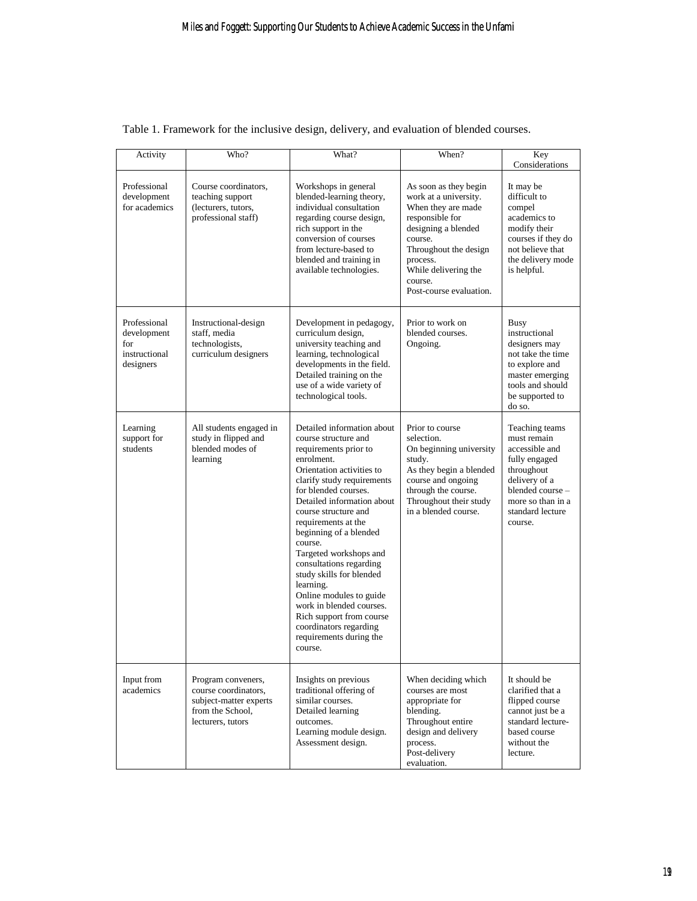| Activity                                                         | Who?                                                                                                          | What?                                                                                                                                                                                                                                                                                                                                                                                                                                                                                                                                           | When?                                                                                                                                                                                                                        | Key<br>Considerations                                                                                                                                                   |
|------------------------------------------------------------------|---------------------------------------------------------------------------------------------------------------|-------------------------------------------------------------------------------------------------------------------------------------------------------------------------------------------------------------------------------------------------------------------------------------------------------------------------------------------------------------------------------------------------------------------------------------------------------------------------------------------------------------------------------------------------|------------------------------------------------------------------------------------------------------------------------------------------------------------------------------------------------------------------------------|-------------------------------------------------------------------------------------------------------------------------------------------------------------------------|
| Professional<br>development<br>for academics                     | Course coordinators,<br>teaching support<br>(lecturers, tutors,<br>professional staff)                        | Workshops in general<br>blended-learning theory,<br>individual consultation<br>regarding course design,<br>rich support in the<br>conversion of courses<br>from lecture-based to<br>blended and training in<br>available technologies.                                                                                                                                                                                                                                                                                                          | As soon as they begin<br>work at a university.<br>When they are made<br>responsible for<br>designing a blended<br>course.<br>Throughout the design<br>process.<br>While delivering the<br>course.<br>Post-course evaluation. | It may be<br>difficult to<br>compel<br>academics to<br>modify their<br>courses if they do<br>not believe that<br>the delivery mode<br>is helpful.                       |
| Professional<br>development<br>for<br>instructional<br>designers | Instructional-design<br>staff, media<br>technologists,<br>curriculum designers                                | Development in pedagogy,<br>curriculum design,<br>university teaching and<br>learning, technological<br>developments in the field.<br>Detailed training on the<br>use of a wide variety of<br>technological tools.                                                                                                                                                                                                                                                                                                                              | Prior to work on<br>blended courses.<br>Ongoing.                                                                                                                                                                             | Busy<br>instructional<br>designers may<br>not take the time<br>to explore and<br>master emerging<br>tools and should<br>be supported to<br>do so.                       |
| Learning<br>support for<br>students                              | All students engaged in<br>study in flipped and<br>blended modes of<br>learning                               | Detailed information about<br>course structure and<br>requirements prior to<br>enrolment.<br>Orientation activities to<br>clarify study requirements<br>for blended courses.<br>Detailed information about<br>course structure and<br>requirements at the<br>beginning of a blended<br>course.<br>Targeted workshops and<br>consultations regarding<br>study skills for blended<br>learning.<br>Online modules to guide<br>work in blended courses.<br>Rich support from course<br>coordinators regarding<br>requirements during the<br>course. | Prior to course<br>selection.<br>On beginning university<br>study.<br>As they begin a blended<br>course and ongoing<br>through the course.<br>Throughout their study<br>in a blended course.                                 | Teaching teams<br>must remain<br>accessible and<br>fully engaged<br>throughout<br>delivery of a<br>blended course -<br>more so than in a<br>standard lecture<br>course. |
| Input from<br>academics                                          | Program conveners,<br>course coordinators.<br>subject-matter experts<br>from the School,<br>lecturers, tutors | Insights on previous<br>traditional offering of<br>similar courses.<br>Detailed learning<br>outcomes.<br>Learning module design.<br>Assessment design.                                                                                                                                                                                                                                                                                                                                                                                          | When deciding which<br>courses are most<br>appropriate for<br>blending.<br>Throughout entire<br>design and delivery<br>process.<br>Post-delivery<br>evaluation.                                                              | It should be<br>clarified that a<br>flipped course<br>cannot just be a<br>standard lecture-<br>based course<br>without the<br>lecture.                                  |

### Table 1. Framework for the inclusive design, delivery, and evaluation of blended courses.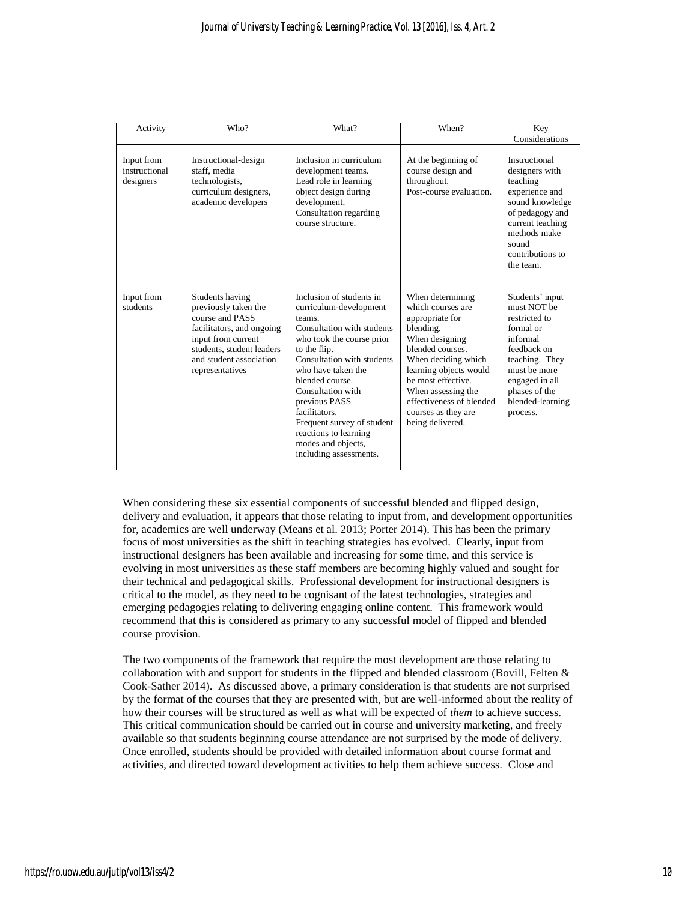| Activity                                 | Who?                                                                                                                                                                                     | What?                                                                                                                                                                                                                                                                                                                                                                        | When?                                                                                                                                                                                                                                                                           | Key<br>Considerations                                                                                                                                                                        |
|------------------------------------------|------------------------------------------------------------------------------------------------------------------------------------------------------------------------------------------|------------------------------------------------------------------------------------------------------------------------------------------------------------------------------------------------------------------------------------------------------------------------------------------------------------------------------------------------------------------------------|---------------------------------------------------------------------------------------------------------------------------------------------------------------------------------------------------------------------------------------------------------------------------------|----------------------------------------------------------------------------------------------------------------------------------------------------------------------------------------------|
| Input from<br>instructional<br>designers | Instructional-design<br>staff, media<br>technologists,<br>curriculum designers,<br>academic developers                                                                                   | Inclusion in curriculum<br>development teams.<br>Lead role in learning<br>object design during<br>development.<br>Consultation regarding<br>course structure.                                                                                                                                                                                                                | At the beginning of<br>course design and<br>throughout.<br>Post-course evaluation.                                                                                                                                                                                              | Instructional<br>designers with<br>teaching<br>experience and<br>sound knowledge<br>of pedagogy and<br>current teaching<br>methods make<br>sound<br>contributions to<br>the team.            |
| Input from<br>students                   | Students having<br>previously taken the<br>course and PASS<br>facilitators, and ongoing<br>input from current<br>students, student leaders<br>and student association<br>representatives | Inclusion of students in<br>curriculum-development<br>teams.<br>Consultation with students<br>who took the course prior<br>to the flip.<br>Consultation with students<br>who have taken the<br>blended course.<br>Consultation with<br>previous PASS<br>facilitators.<br>Frequent survey of student<br>reactions to learning<br>modes and objects,<br>including assessments. | When determining<br>which courses are<br>appropriate for<br>blending.<br>When designing<br>blended courses.<br>When deciding which<br>learning objects would<br>be most effective.<br>When assessing the<br>effectiveness of blended<br>courses as they are<br>being delivered. | Students' input<br>must NOT be<br>restricted to<br>formal or<br>informal<br>feedback on<br>teaching. They<br>must be more<br>engaged in all<br>phases of the<br>blended-learning<br>process. |

When considering these six essential components of successful blended and flipped design, delivery and evaluation, it appears that those relating to input from, and development opportunities for, academics are well underway (Means et al. 2013; Porter 2014). This has been the primary focus of most universities as the shift in teaching strategies has evolved. Clearly, input from instructional designers has been available and increasing for some time, and this service is evolving in most universities as these staff members are becoming highly valued and sought for their technical and pedagogical skills. Professional development for instructional designers is critical to the model, as they need to be cognisant of the latest technologies, strategies and emerging pedagogies relating to delivering engaging online content. This framework would recommend that this is considered as primary to any successful model of flipped and blended course provision.

The two components of the framework that require the most development are those relating to collaboration with and support for students in the flipped and blended classroom (Bovill, Felten  $\&$ Cook-Sather 2014). As discussed above, a primary consideration is that students are not surprised by the format of the courses that they are presented with, but are well-informed about the reality of how their courses will be structured as well as what will be expected of *them* to achieve success. This critical communication should be carried out in course and university marketing, and freely available so that students beginning course attendance are not surprised by the mode of delivery. Once enrolled, students should be provided with detailed information about course format and activities, and directed toward development activities to help them achieve success. Close and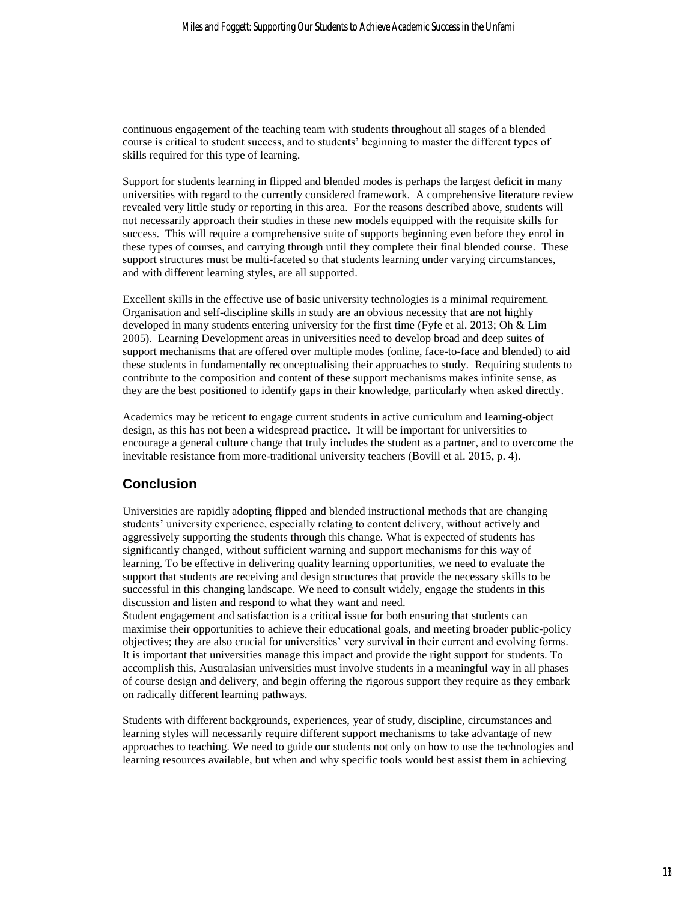continuous engagement of the teaching team with students throughout all stages of a blended course is critical to student success, and to students' beginning to master the different types of skills required for this type of learning.

Support for students learning in flipped and blended modes is perhaps the largest deficit in many universities with regard to the currently considered framework. A comprehensive literature review revealed very little study or reporting in this area. For the reasons described above, students will not necessarily approach their studies in these new models equipped with the requisite skills for success. This will require a comprehensive suite of supports beginning even before they enrol in these types of courses, and carrying through until they complete their final blended course. These support structures must be multi-faceted so that students learning under varying circumstances, and with different learning styles, are all supported.

Excellent skills in the effective use of basic university technologies is a minimal requirement. Organisation and self-discipline skills in study are an obvious necessity that are not highly developed in many students entering university for the first time (Fyfe et al. 2013; Oh & Lim 2005). Learning Development areas in universities need to develop broad and deep suites of support mechanisms that are offered over multiple modes (online, face-to-face and blended) to aid these students in fundamentally reconceptualising their approaches to study. Requiring students to contribute to the composition and content of these support mechanisms makes infinite sense, as they are the best positioned to identify gaps in their knowledge, particularly when asked directly.

Academics may be reticent to engage current students in active curriculum and learning-object design, as this has not been a widespread practice. It will be important for universities to encourage a general culture change that truly includes the student as a partner, and to overcome the inevitable resistance from more-traditional university teachers (Bovill et al. 2015, p. 4).

### **Conclusion**

Universities are rapidly adopting flipped and blended instructional methods that are changing students' university experience, especially relating to content delivery, without actively and aggressively supporting the students through this change. What is expected of students has significantly changed, without sufficient warning and support mechanisms for this way of learning. To be effective in delivering quality learning opportunities, we need to evaluate the support that students are receiving and design structures that provide the necessary skills to be successful in this changing landscape. We need to consult widely, engage the students in this discussion and listen and respond to what they want and need.

Student engagement and satisfaction is a critical issue for both ensuring that students can maximise their opportunities to achieve their educational goals, and meeting broader public-policy objectives; they are also crucial for universities' very survival in their current and evolving forms. It is important that universities manage this impact and provide the right support for students. To accomplish this, Australasian universities must involve students in a meaningful way in all phases of course design and delivery, and begin offering the rigorous support they require as they embark on radically different learning pathways.

Students with different backgrounds, experiences, year of study, discipline, circumstances and learning styles will necessarily require different support mechanisms to take advantage of new approaches to teaching. We need to guide our students not only on how to use the technologies and learning resources available, but when and why specific tools would best assist them in achieving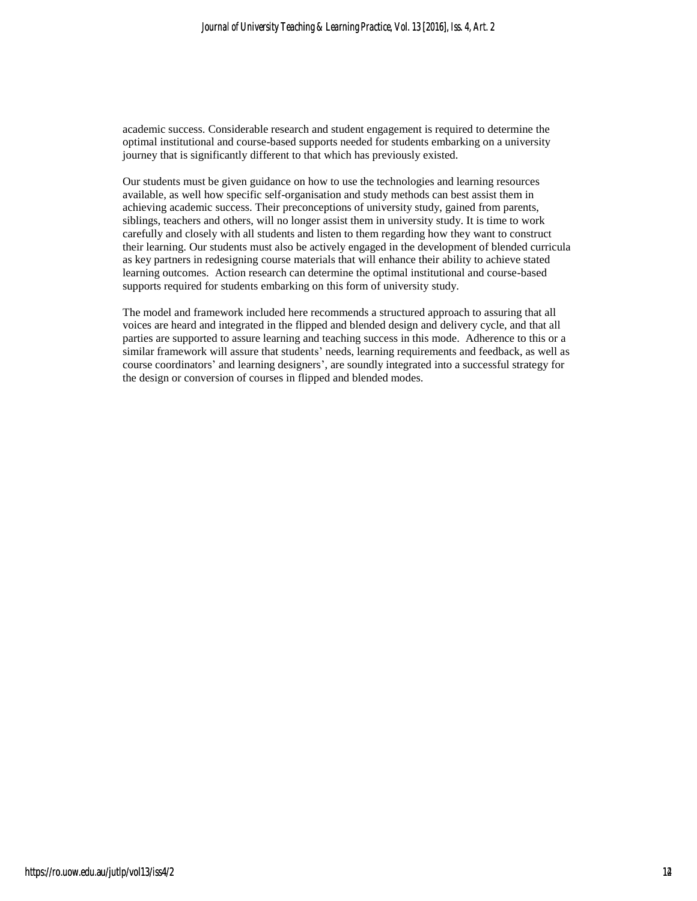academic success. Considerable research and student engagement is required to determine the optimal institutional and course-based supports needed for students embarking on a university journey that is significantly different to that which has previously existed.

Our students must be given guidance on how to use the technologies and learning resources available, as well how specific self-organisation and study methods can best assist them in achieving academic success. Their preconceptions of university study, gained from parents, siblings, teachers and others, will no longer assist them in university study. It is time to work carefully and closely with all students and listen to them regarding how they want to construct their learning. Our students must also be actively engaged in the development of blended curricula as key partners in redesigning course materials that will enhance their ability to achieve stated learning outcomes. Action research can determine the optimal institutional and course-based supports required for students embarking on this form of university study.

The model and framework included here recommends a structured approach to assuring that all voices are heard and integrated in the flipped and blended design and delivery cycle, and that all parties are supported to assure learning and teaching success in this mode. Adherence to this or a similar framework will assure that students' needs, learning requirements and feedback, as well as course coordinators' and learning designers', are soundly integrated into a successful strategy for the design or conversion of courses in flipped and blended modes.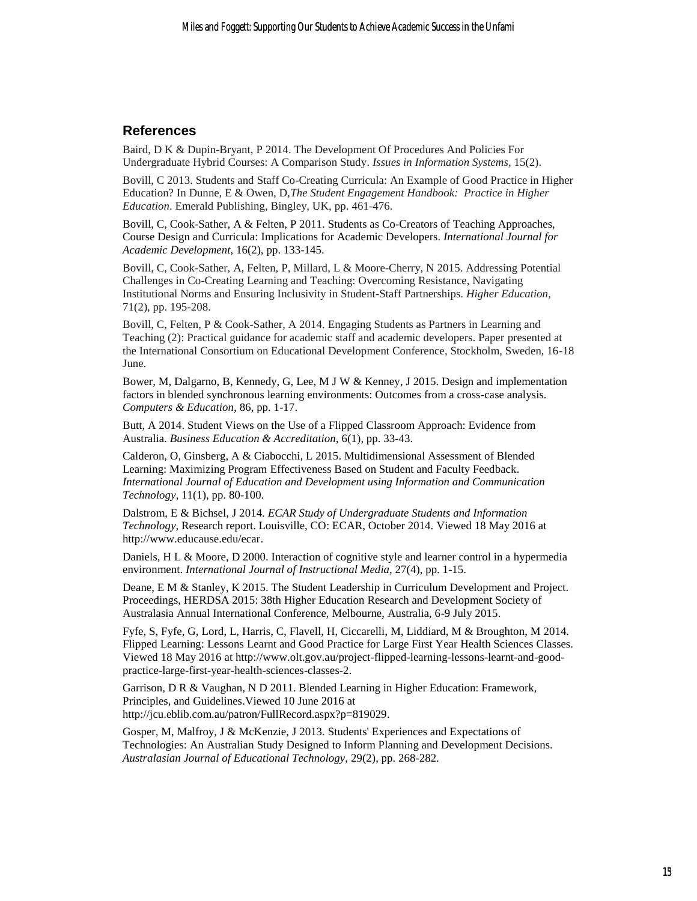#### **References**

Baird, D K & Dupin-Bryant, P 2014. The Development Of Procedures And Policies For Undergraduate Hybrid Courses: A Comparison Study. *Issues in Information Systems,* 15(2).

Bovill, C 2013. Students and Staff Co-Creating Curricula: An Example of Good Practice in Higher Education? In Dunne, E & Owen, D,*The Student Engagement Handbook: Practice in Higher Education*. Emerald Publishing, Bingley, UK, pp. 461-476.

Bovill, C, Cook-Sather, A & Felten, P 2011. Students as Co-Creators of Teaching Approaches, Course Design and Curricula: Implications for Academic Developers. *International Journal for Academic Development,* 16(2), pp. 133-145.

Bovill, C, Cook-Sather, A, Felten, P, Millard, L & Moore-Cherry, N 2015. Addressing Potential Challenges in Co-Creating Learning and Teaching: Overcoming Resistance, Navigating Institutional Norms and Ensuring Inclusivity in Student-Staff Partnerships. *Higher Education*, 71(2), pp. 195-208.

Bovill, C, Felten, P & Cook-Sather, A 2014. Engaging Students as Partners in Learning and Teaching (2): Practical guidance for academic staff and academic developers. Paper presented at the International Consortium on Educational Development Conference, Stockholm, Sweden, 16-18 June.

Bower, M, Dalgarno, B, Kennedy, G, Lee, M J W & Kenney, J 2015. Design and implementation factors in blended synchronous learning environments: Outcomes from a cross-case analysis. *Computers & Education*, 86, pp. 1-17.

Butt, A 2014. Student Views on the Use of a Flipped Classroom Approach: Evidence from Australia. *Business Education & Accreditation,* 6(1), pp. 33-43.

Calderon, O, Ginsberg, A & Ciabocchi, L 2015. Multidimensional Assessment of Blended Learning: Maximizing Program Effectiveness Based on Student and Faculty Feedback. *International Journal of Education and Development using Information and Communication Technology*, 11(1), pp. 80-100.

Dalstrom, E & Bichsel, J 2014. *ECAR Study of Undergraduate Students and Information Technology,* Research report. Louisville, CO: ECAR, October 2014. Viewed 18 May 2016 at http://www.educause.edu/ecar.

Daniels, H L & Moore, D 2000. Interaction of cognitive style and learner control in a hypermedia environment. *International Journal of Instructional Media,* 27(4), pp. 1-15.

Deane, E M & Stanley, K 2015. The Student Leadership in Curriculum Development and Project. Proceedings, HERDSA 2015: 38th Higher Education Research and Development Society of Australasia Annual International Conference, Melbourne, Australia, 6-9 July 2015.

Fyfe, S, Fyfe, G, Lord, L, Harris, C, Flavell, H, Ciccarelli, M, Liddiard, M & Broughton, M 2014. Flipped Learning: Lessons Learnt and Good Practice for Large First Year Health Sciences Classes. Viewed 18 May 2016 at http://www.olt.gov.au/project-flipped-learning-lessons-learnt-and-goodpractice-large-first-year-health-sciences-classes-2.

Garrison, D R & Vaughan, N D 2011. Blended Learning in Higher Education: Framework, Principles, and Guidelines.Viewed 10 June 2016 at http://jcu.eblib.com.au/patron/FullRecord.aspx?p=819029.

Gosper, M, Malfroy, J & McKenzie, J 2013. Students' Experiences and Expectations of Technologies: An Australian Study Designed to Inform Planning and Development Decisions. *Australasian Journal of Educational Technology,* 29(2), pp. 268-282.